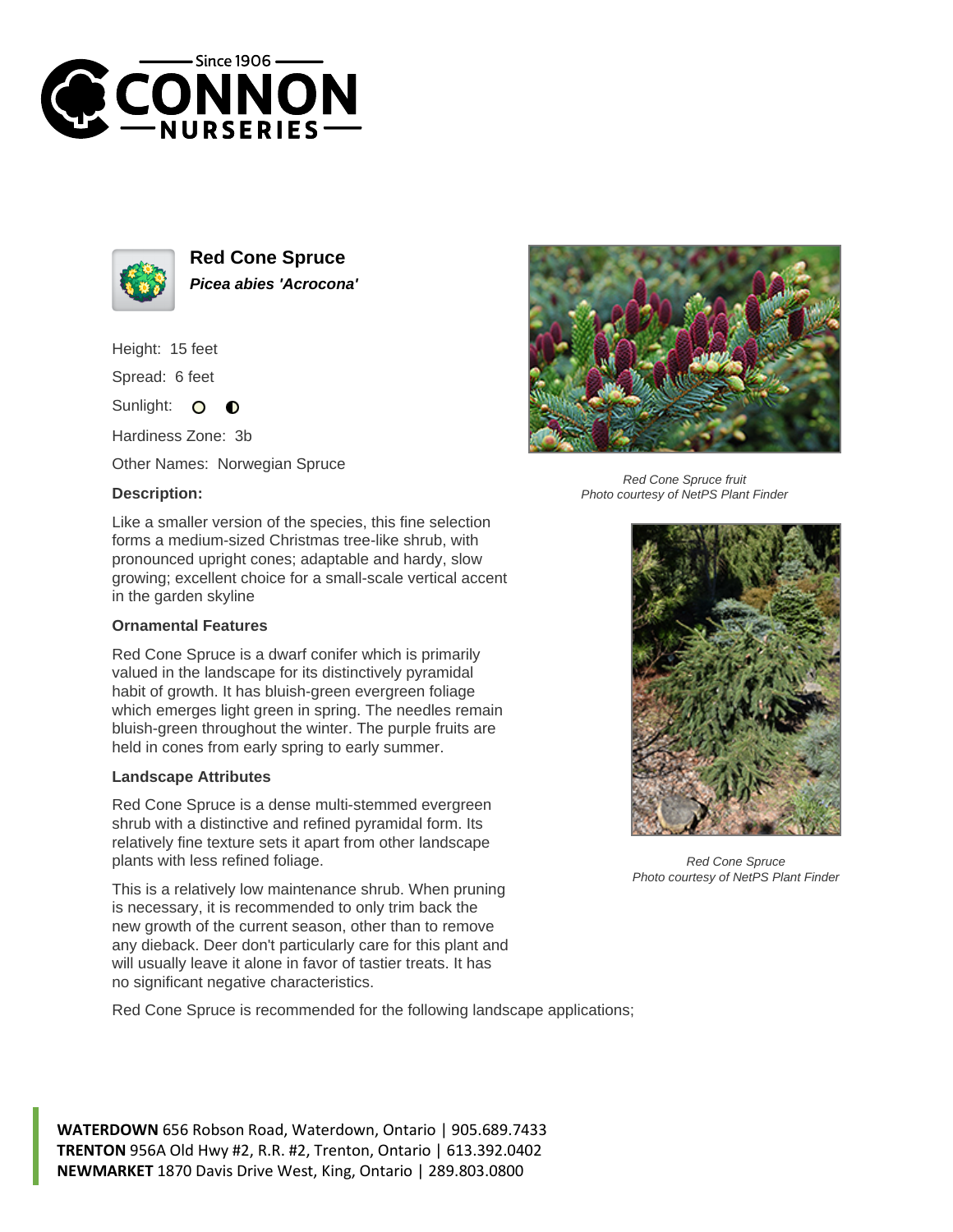



**Red Cone Spruce Picea abies 'Acrocona'**

Height: 15 feet

Spread: 6 feet

Sunlight:  $\circ$  $\bullet$ 

Hardiness Zone: 3b

Other Names: Norwegian Spruce

## **Description:**



## **Ornamental Features**

Red Cone Spruce is a dwarf conifer which is primarily valued in the landscape for its distinctively pyramidal habit of growth. It has bluish-green evergreen foliage which emerges light green in spring. The needles remain bluish-green throughout the winter. The purple fruits are held in cones from early spring to early summer.

## **Landscape Attributes**

Red Cone Spruce is a dense multi-stemmed evergreen shrub with a distinctive and refined pyramidal form. Its relatively fine texture sets it apart from other landscape plants with less refined foliage.

This is a relatively low maintenance shrub. When pruning is necessary, it is recommended to only trim back the new growth of the current season, other than to remove any dieback. Deer don't particularly care for this plant and will usually leave it alone in favor of tastier treats. It has no significant negative characteristics.

Red Cone Spruce is recommended for the following landscape applications;



Red Cone Spruce fruit Photo courtesy of NetPS Plant Finder



Red Cone Spruce Photo courtesy of NetPS Plant Finder

**WATERDOWN** 656 Robson Road, Waterdown, Ontario | 905.689.7433 **TRENTON** 956A Old Hwy #2, R.R. #2, Trenton, Ontario | 613.392.0402 **NEWMARKET** 1870 Davis Drive West, King, Ontario | 289.803.0800